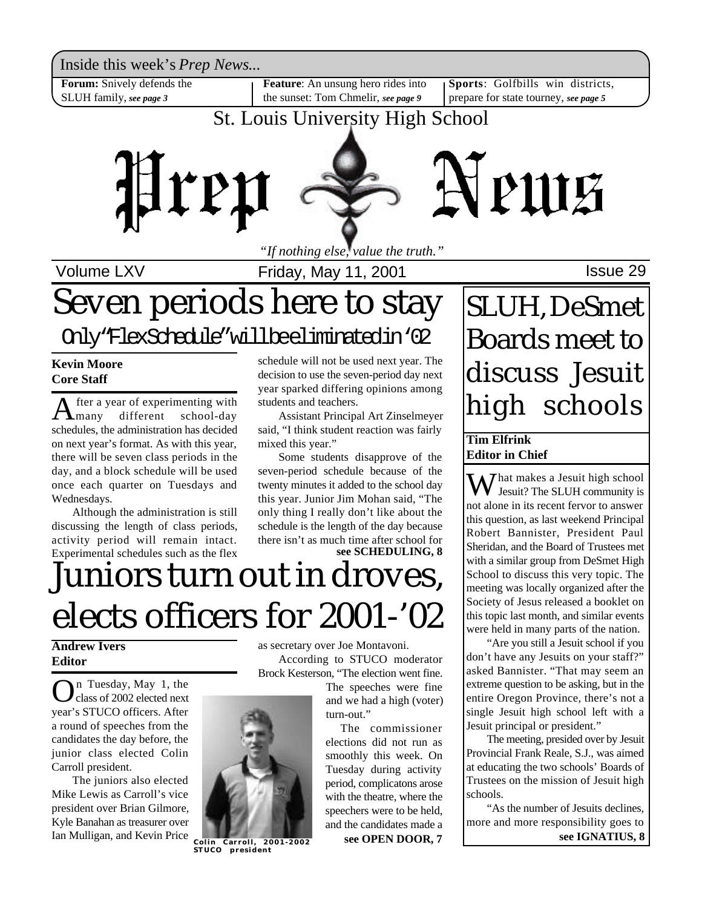Inside this week's *Prep News*...

**Forum:** Snively defends the SLUH family, *see page 3*

**Feature**: An unsung hero rides into the sunset: Tom Chmelir, *see page 9*

**Sports**: Golfbills win districts, prepare for state tourney, *see page 5*

### St. Louis University High School



Volume LXV **Internal Control Control**s Friday, May 11, 2001

### Seven periods here to stay SLUH, DeSmet Only"FlexSchedule"willbeeliminatedin'02

**Kevin Moore Core Staff**

 $A_{\text{many}}$ fter a year of experimenting with different school-day schedules, the administration has decided on next year's format. As with this year, there will be seven class periods in the day, and a block schedule will be used once each quarter on Tuesdays and Wednesdays.

Although the administration is still discussing the length of class periods, activity period will remain intact. Experimental schedules such as the flex schedule will not be used next year. The decision to use the seven-period day next year sparked differing opinions among students and teachers.

Assistant Principal Art Zinselmeyer said, "I think student reaction was fairly mixed this year."

**see SCHEDULING, 8** Some students disapprove of the seven-period schedule because of the twenty minutes it added to the school day this year. Junior Jim Mohan said, "The only thing I really don't like about the schedule is the length of the day because there isn't as much time after school for

## Juniors turn out in droves, elects officers for 2001-'02

### **Andrew Ivers Editor**

**O**n Tuesday, May 1, the<br>year's STUCO officers. After n Tuesday, May 1, the class of 2002 elected next a round of speeches from the candidates the day before, the junior class elected Colin Carroll president.

The juniors also elected Mike Lewis as Carroll's vice president over Brian Gilmore, Kyle Banahan as treasurer over Ian Mulligan, and Kevin Price as secretary over Joe Montavoni. According to STUCO moderator Brock Kesterson, "The election went fine.

The speeches were fine and we had a high (voter) turn-out."

The commissioner elections did not run as smoothly this week. On Tuesday during activity period, complicatons arose with the theatre, where the speechers were to be held, and the candidates made a

**see OPEN DOOR, 7**

# Boards meet to discuss Jesuit high schools

#### **Tim Elfrink Editor in Chief**

 $M^{\text{hat makes a Jesuit high school}}$ Jesuit? The SLUH community is not alone in its recent fervor to answer this question, as last weekend Principal Robert Bannister, President Paul Sheridan, and the Board of Trustees met with a similar group from DeSmet High School to discuss this very topic. The meeting was locally organized after the Society of Jesus released a booklet on this topic last month, and similar events were held in many parts of the nation.

"Are you still a Jesuit school if you don't have any Jesuits on your staff?" asked Bannister. "That may seem an extreme question to be asking, but in the entire Oregon Province, there's not a single Jesuit high school left with a Jesuit principal or president."

The meeting, presided over by Jesuit Provincial Frank Reale, S.J., was aimed at educating the two schools' Boards of Trustees on the mission of Jesuit high schools.

"As the number of Jesuits declines, more and more responsibility goes to **see IGNATIUS, 8**



**STUCO president**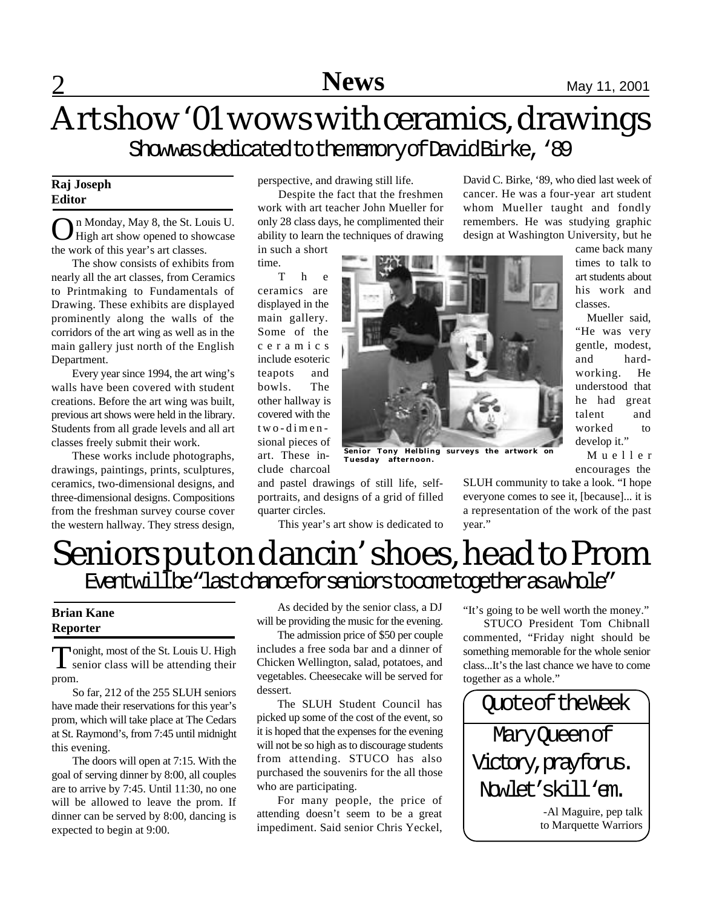### Art show '01 wows with ceramics, drawings ShowwasdedicatedtothememoryofDavidBirke, '89

#### **Raj Joseph Editor**

On Monday, May 8, the St. Louis U.<br>High art show opened to showcase High art show opened to showcase the work of this year's art classes.

The show consists of exhibits from nearly all the art classes, from Ceramics to Printmaking to Fundamentals of Drawing. These exhibits are displayed prominently along the walls of the corridors of the art wing as well as in the main gallery just north of the English Department.

Every year since 1994, the art wing's walls have been covered with student creations. Before the art wing was built, previous art shows were held in the library. Students from all grade levels and all art classes freely submit their work.

These works include photographs, drawings, paintings, prints, sculptures, ceramics, two-dimensional designs, and three-dimensional designs. Compositions from the freshman survey course cover the western hallway. They stress design,

perspective, and drawing still life.

Despite the fact that the freshmen work with art teacher John Mueller for only 28 class days, he complimented their ability to learn the techniques of drawing

in such a short

time. T h e ceramics are displayed in the main gallery. Some of the c e r a m i c s include esoteric teapots and bowls. The other hallway is covered with the two-dimensional pieces of art. These include charcoal

quarter circles.



**Senior Tony Helbling surveys the artwork on Tuesday** 

and pastel drawings of still life, selfportraits, and designs of a grid of filled This year's art show is dedicated to

remembers. He was studying graphic design at Washington University, but he came back many times to talk to art students about his work and

David C. Birke, '89, who died last week of cancer. He was a four-year art student whom Mueller taught and fondly

> classes. Mueller said, "He was very gentle, modest, and hardworking. He understood that he had great talent and worked to develop it."

M u e l l e r encourages the

SLUH community to take a look. "I hope everyone comes to see it, [because]... it is a representation of the work of the past year."

### Seniors put on dancin' shoes, head to Prom Eventwillbe "last chance for seniors to come together as awhole"

#### **Brian Kane Reporter**

Tonight, most of the St. Louis U. High<br>senior class will be attending their onight, most of the St. Louis U. High prom.

So far, 212 of the 255 SLUH seniors have made their reservations for this year's prom, which will take place at The Cedars at St. Raymond's, from 7:45 until midnight this evening.

The doors will open at 7:15. With the goal of serving dinner by 8:00, all couples are to arrive by 7:45. Until 11:30, no one will be allowed to leave the prom. If dinner can be served by 8:00, dancing is expected to begin at 9:00.

As decided by the senior class, a DJ will be providing the music for the evening.

The admission price of \$50 per couple includes a free soda bar and a dinner of Chicken Wellington, salad, potatoes, and vegetables. Cheesecake will be served for dessert.

The SLUH Student Council has picked up some of the cost of the event, so it is hoped that the expenses for the evening will not be so high as to discourage students from attending. STUCO has also purchased the souvenirs for the all those who are participating.

For many people, the price of attending doesn't seem to be a great impediment. Said senior Chris Yeckel, "It's going to be well worth the money."

STUCO President Tom Chibnall commented, "Friday night should be something memorable for the whole senior class...It's the last chance we have to come together as a whole."

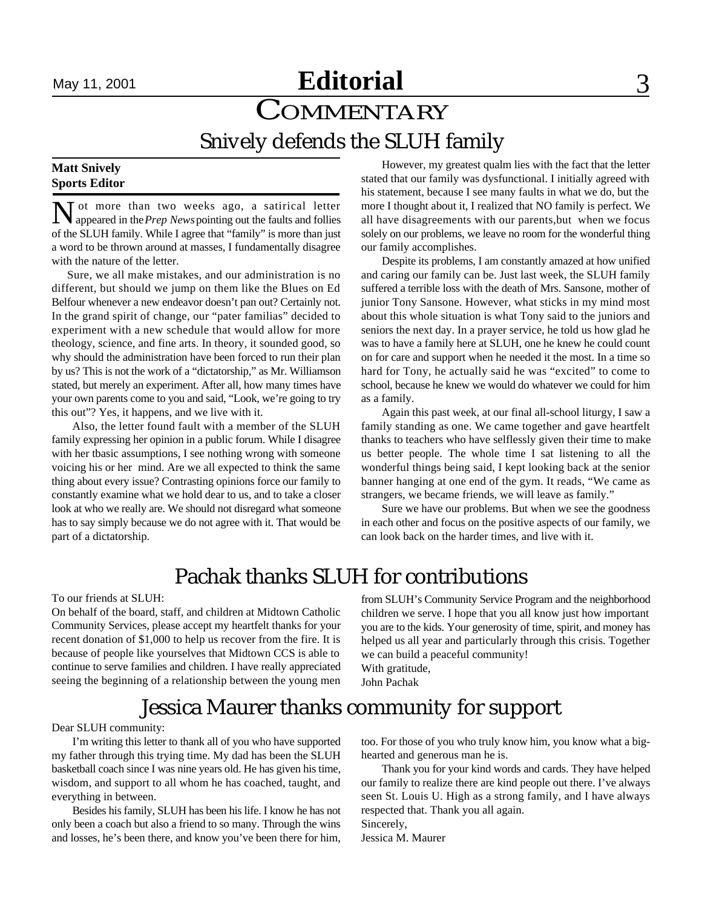### September 15, 2000 May 11, 2001 September 22, 2000 **Editorial Sports News** 3

### **COMMENTARY** Snively defends the SLUH family

#### **Matt Snively Sports Editor**

N ot more than two weeks ago, a satirical letter appeared in the *Prep News* pointing out the faults and follies Tot more than two weeks ago, a satirical letter of the SLUH family. While I agree that "family" is more than just a word to be thrown around at masses, I fundamentally disagree with the nature of the letter.

 Sure, we all make mistakes, and our administration is no different, but should we jump on them like the Blues on Ed Belfour whenever a new endeavor doesn't pan out? Certainly not. In the grand spirit of change, our "pater familias" decided to experiment with a new schedule that would allow for more theology, science, and fine arts. In theory, it sounded good, so why should the administration have been forced to run their plan by us? This is not the work of a "dictatorship," as Mr. Williamson stated, but merely an experiment. After all, how many times have your own parents come to you and said, "Look, we're going to try this out"? Yes, it happens, and we live with it.

Also, the letter found fault with a member of the SLUH family expressing her opinion in a public forum. While I disagree with her tbasic assumptions, I see nothing wrong with someone voicing his or her mind. Are we all expected to think the same thing about every issue? Contrasting opinions force our family to constantly examine what we hold dear to us, and to take a closer look at who we really are. We should not disregard what someone has to say simply because we do not agree with it. That would be part of a dictatorship.

However, my greatest qualm lies with the fact that the letter stated that our family was dysfunctional. I initially agreed with his statement, because I see many faults in what we do, but the more I thought about it, I realized that NO family is perfect. We all have disagreements with our parents,but when we focus solely on our problems, we leave no room for the wonderful thing our family accomplishes.

Despite its problems, I am constantly amazed at how unified and caring our family can be. Just last week, the SLUH family suffered a terrible loss with the death of Mrs. Sansone, mother of junior Tony Sansone. However, what sticks in my mind most about this whole situation is what Tony said to the juniors and seniors the next day. In a prayer service, he told us how glad he was to have a family here at SLUH, one he knew he could count on for care and support when he needed it the most. In a time so hard for Tony, he actually said he was "excited" to come to school, because he knew we would do whatever we could for him as a family.

Again this past week, at our final all-school liturgy, I saw a family standing as one. We came together and gave heartfelt thanks to teachers who have selflessly given their time to make us better people. The whole time I sat listening to all the wonderful things being said, I kept looking back at the senior banner hanging at one end of the gym. It reads, "We came as strangers, we became friends, we will leave as family."

Sure we have our problems. But when we see the goodness in each other and focus on the positive aspects of our family, we can look back on the harder times, and live with it.

### Pachak thanks SLUH for contributions

To our friends at SLUH:

On behalf of the board, staff, and children at Midtown Catholic Community Services, please accept my heartfelt thanks for your recent donation of \$1,000 to help us recover from the fire. It is because of people like yourselves that Midtown CCS is able to continue to serve families and children. I have really appreciated seeing the beginning of a relationship between the young men from SLUH's Community Service Program and the neighborhood children we serve. I hope that you all know just how important you are to the kids. Your generosity of time, spirit, and money has helped us all year and particularly through this crisis. Together we can build a peaceful community! With gratitude,

John Pachak

### Jessica Maurer thanks community for support

Dear SLUH community:

I'm writing this letter to thank all of you who have supported my father through this trying time. My dad has been the SLUH basketball coach since I was nine years old. He has given his time, wisdom, and support to all whom he has coached, taught, and everything in between.

Besides his family, SLUH has been his life. I know he has not only been a coach but also a friend to so many. Through the wins and losses, he's been there, and know you've been there for him, too. For those of you who truly know him, you know what a bighearted and generous man he is.

Thank you for your kind words and cards. They have helped our family to realize there are kind people out there. I've always seen St. Louis U. High as a strong family, and I have always respected that. Thank you all again. Sincerely,

Jessica M. Maurer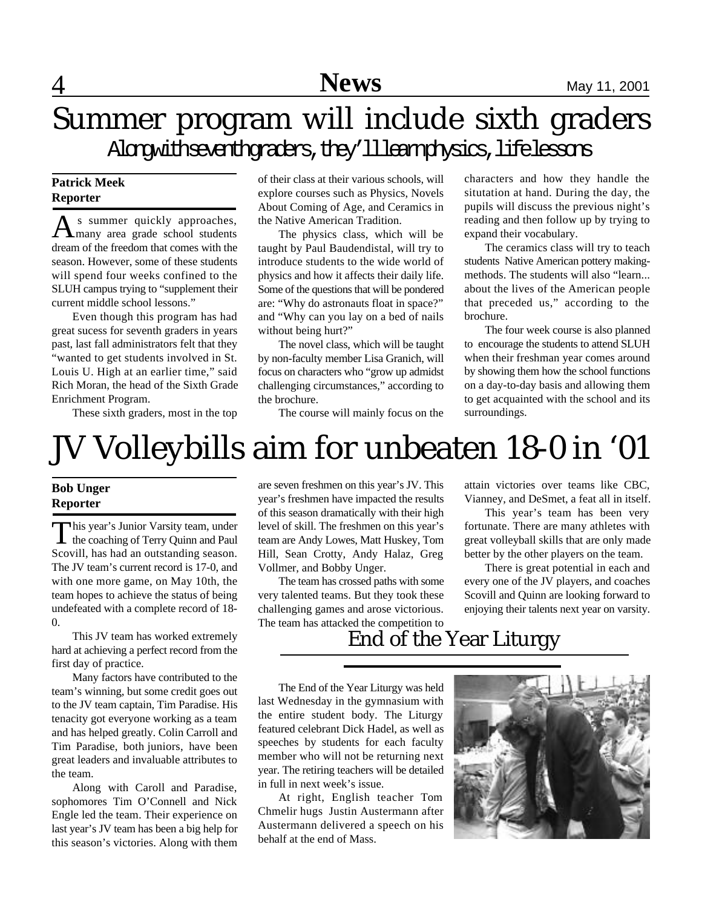### Summer program will include sixth graders Alongwithseventhgraders, they'llleamphysics, lifelessons

#### **Patrick Meek Reporter**

A s summer quickly approaches,<br>
many area grade school students s summer quickly approaches, dream of the freedom that comes with the season. However, some of these students will spend four weeks confined to the SLUH campus trying to "supplement their current middle school lessons."

Even though this program has had great sucess for seventh graders in years past, last fall administrators felt that they "wanted to get students involved in St. Louis U. High at an earlier time," said Rich Moran, the head of the Sixth Grade Enrichment Program.

These sixth graders, most in the top

of their class at their various schools, will explore courses such as Physics, Novels About Coming of Age, and Ceramics in the Native American Tradition.

The physics class, which will be taught by Paul Baudendistal, will try to introduce students to the wide world of physics and how it affects their daily life. Some of the questions that will be pondered are: "Why do astronauts float in space?" and "Why can you lay on a bed of nails without being hurt?"

The novel class, which will be taught by non-faculty member Lisa Granich, will focus on characters who "grow up admidst challenging circumstances," according to the brochure.

The course will mainly focus on the

characters and how they handle the situtation at hand. During the day, the pupils will discuss the previous night's reading and then follow up by trying to expand their vocabulary.

The ceramics class will try to teach students Native American pottery makingmethods. The students will also "learn... about the lives of the American people that preceded us," according to the brochure.

The four week course is also planned to encourage the students to attend SLUH when their freshman year comes around by showing them how the school functions on a day-to-day basis and allowing them to get acquainted with the school and its surroundings.

## JV Volleybills aim for unbeaten 18-0 in '01

#### **Bob Unger Reporter**

This year's Junior Varsity team, under<br>the coaching of Terry Quinn and Paul his year's Junior Varsity team, under Scovill, has had an outstanding season. The JV team's current record is 17-0, and with one more game, on May 10th, the team hopes to achieve the status of being undefeated with a complete record of 18- 0.

This JV team has worked extremely hard at achieving a perfect record from the first day of practice.

Many factors have contributed to the team's winning, but some credit goes out to the JV team captain, Tim Paradise. His tenacity got everyone working as a team and has helped greatly. Colin Carroll and Tim Paradise, both juniors, have been great leaders and invaluable attributes to the team.

Along with Caroll and Paradise, sophomores Tim O'Connell and Nick Engle led the team. Their experience on last year's JV team has been a big help for this season's victories. Along with them

are seven freshmen on this year's JV. This year's freshmen have impacted the results of this season dramatically with their high level of skill. The freshmen on this year's team are Andy Lowes, Matt Huskey, Tom Hill, Sean Crotty, Andy Halaz, Greg Vollmer, and Bobby Unger.

The team has crossed paths with some very talented teams. But they took these challenging games and arose victorious. The team has attacked the competition to attain victories over teams like CBC, Vianney, and DeSmet, a feat all in itself.

This year's team has been very fortunate. There are many athletes with great volleyball skills that are only made better by the other players on the team.

There is great potential in each and every one of the JV players, and coaches Scovill and Quinn are looking forward to enjoying their talents next year on varsity.

### End of the Year Liturgy

The End of the Year Liturgy was held last Wednesday in the gymnasium with the entire student body. The Liturgy featured celebrant Dick Hadel, as well as speeches by students for each faculty member who will not be returning next year. The retiring teachers will be detailed in full in next week's issue.

At right, English teacher Tom Chmelir hugs Justin Austermann after Austermann delivered a speech on his behalf at the end of Mass.

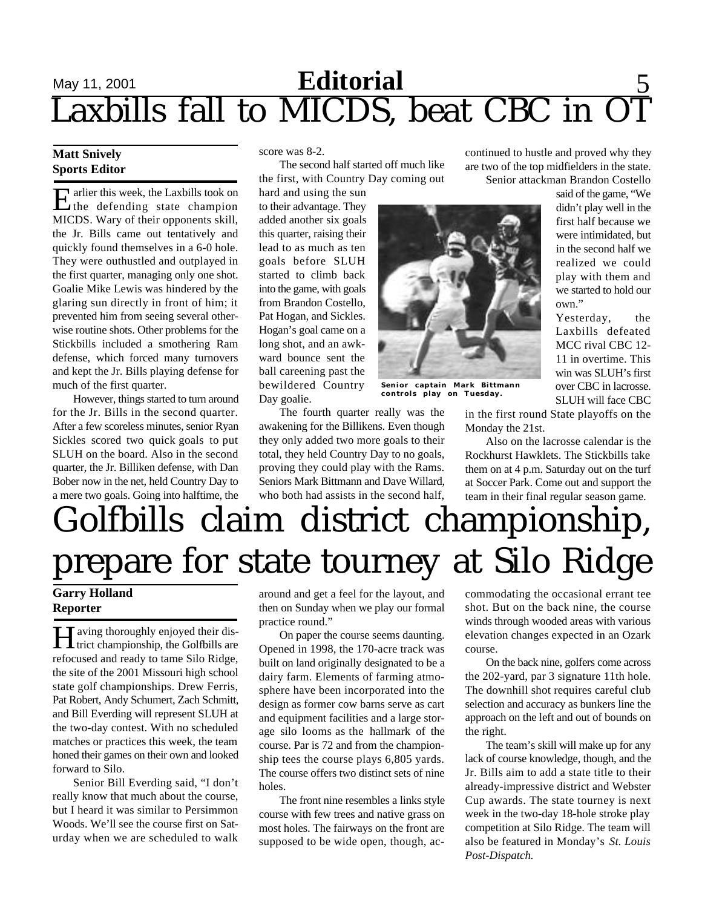## **Editorial** September 2001 September 2001 September 2001 September 2001 September 2000 September 2000 September 2000 September 2000 September 2000 September 2000 September 2000 September 2000 September 2000 September 2000 Laxbills fall to MICDS, beat CBC in OT

#### **Matt Snively Sports Editor**

E arlier this week, the Laxbills took on<br>the defending state champion the defending state champion MICDS. Wary of their opponents skill, the Jr. Bills came out tentatively and quickly found themselves in a 6-0 hole. They were outhustled and outplayed in the first quarter, managing only one shot. Goalie Mike Lewis was hindered by the glaring sun directly in front of him; it prevented him from seeing several otherwise routine shots. Other problems for the Stickbills included a smothering Ram defense, which forced many turnovers and kept the Jr. Bills playing defense for much of the first quarter.

However, things started to turn around for the Jr. Bills in the second quarter. After a few scoreless minutes, senior Ryan Sickles scored two quick goals to put SLUH on the board. Also in the second quarter, the Jr. Billiken defense, with Dan Bober now in the net, held Country Day to a mere two goals. Going into halftime, the score was 8-2.

The second half started off much like the first, with Country Day coming out

hard and using the sun to their advantage. They added another six goals this quarter, raising their lead to as much as ten goals before SLUH started to climb back into the game, with goals from Brandon Costello, Pat Hogan, and Sickles. Hogan's goal came on a long shot, and an awkward bounce sent the ball careening past the bewildered Country Day goalie.

**Senior captain Mark Bittmann controls play on Tuesday.**

in the first round State playoffs on the Monday the 21st.

continued to hustle and proved why they are two of the top midfielders in the state.

Also on the lacrosse calendar is the Rockhurst Hawklets. The Stickbills take them on at 4 p.m. Saturday out on the turf at Soccer Park. Come out and support the team in their final regular season game.

## Golfbills claim district championship, prepare for state tourney at Silo Ridge

The fourth quarter really was the awakening for the Billikens. Even though they only added two more goals to their total, they held Country Day to no goals, proving they could play with the Rams. Seniors Mark Bittmann and Dave Willard, who both had assists in the second half

### **Garry Holland Reporter**

**H** aving thoroughly enjoyed their district championship, the Golfbills are **T** aving thoroughly enjoyed their disrefocused and ready to tame Silo Ridge, the site of the 2001 Missouri high school state golf championships. Drew Ferris, Pat Robert, Andy Schumert, Zach Schmitt, and Bill Everding will represent SLUH at the two-day contest. With no scheduled matches or practices this week, the team honed their games on their own and looked forward to Silo.

Senior Bill Everding said, "I don't really know that much about the course, but I heard it was similar to Persimmon Woods. We'll see the course first on Saturday when we are scheduled to walk

around and get a feel for the layout, and then on Sunday when we play our formal practice round."

On paper the course seems daunting. Opened in 1998, the 170-acre track was built on land originally designated to be a dairy farm. Elements of farming atmosphere have been incorporated into the design as former cow barns serve as cart and equipment facilities and a large storage silo looms as the hallmark of the course. Par is 72 and from the championship tees the course plays 6,805 yards. The course offers two distinct sets of nine holes.

The front nine resembles a links style course with few trees and native grass on most holes. The fairways on the front are supposed to be wide open, though, accommodating the occasional errant tee shot. But on the back nine, the course winds through wooded areas with various elevation changes expected in an Ozark course.

On the back nine, golfers come across the 202-yard, par 3 signature 11th hole. The downhill shot requires careful club selection and accuracy as bunkers line the approach on the left and out of bounds on the right.

The team's skill will make up for any lack of course knowledge, though, and the Jr. Bills aim to add a state title to their already-impressive district and Webster Cup awards. The state tourney is next week in the two-day 18-hole stroke play competition at Silo Ridge. The team will also be featured in Monday's *St. Louis Post-Dispatch.*

Senior attackman Brandon Costello said of the game, "We didn't play well in the first half because we were intimidated, but in the second half we realized we could play with them and we started to hold our own." Yesterday, the

Laxbills defeated MCC rival CBC 12- 11 in overtime. This win was SLUH's first over CBC in lacrosse. SLUH will face CBC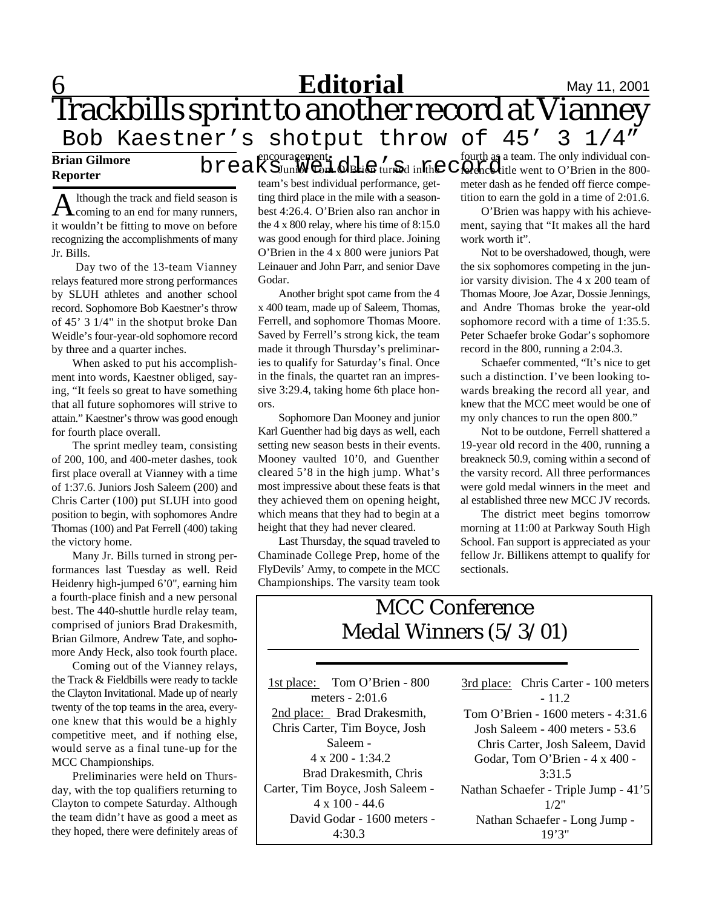### **6 Editorial** May 11, 2001 Trackbills sprint to another record at Vianney Bob Kaestner's shotput throw of 45' 3 1/4"

encouragement.

#### **Brian Gilmore Reporter**

A lthough the track and field season is<br>coming to an end for many runners, lthough the track and field season is it wouldn't be fitting to move on before recognizing the accomplishments of many Jr. Bills.

 Day two of the 13-team Vianney relays featured more strong performances by SLUH athletes and another school record. Sophomore Bob Kaestner's throw of 45' 3 1/4" in the shotput broke Dan Weidle's four-year-old sophomore record by three and a quarter inches.

When asked to put his accomplishment into words, Kaestner obliged, saying, "It feels so great to have something that all future sophomores will strive to attain." Kaestner's throw was good enough for fourth place overall.

The sprint medley team, consisting of 200, 100, and 400-meter dashes, took first place overall at Vianney with a time of 1:37.6. Juniors Josh Saleem (200) and Chris Carter (100) put SLUH into good position to begin, with sophomores Andre Thomas (100) and Pat Ferrell (400) taking the victory home.

Many Jr. Bills turned in strong performances last Tuesday as well. Reid Heidenry high-jumped 6'0", earning him a fourth-place finish and a new personal best. The 440-shuttle hurdle relay team, comprised of juniors Brad Drakesmith, Brian Gilmore, Andrew Tate, and sophomore Andy Heck, also took fourth place.

Coming out of the Vianney relays, the Track & Fieldbills were ready to tackle the Clayton Invitational. Made up of nearly twenty of the top teams in the area, everyone knew that this would be a highly competitive meet, and if nothing else, would serve as a final tune-up for the MCC Championships.

Preliminaries were held on Thursday, with the top qualifiers returning to Clayton to compete Saturday. Although the team didn't have as good a meet as they hoped, there were definitely areas of

Junior Tom O'Brien turned in the team's best individual performance, getting third place in the mile with a seasonbest 4:26.4. O'Brien also ran anchor in the 4 x 800 relay, where his time of 8:15.0 was good enough for third place. Joining O'Brien in the 4 x 800 were juniors Pat Leinauer and John Parr, and senior Dave Godar.

Another bright spot came from the 4 x 400 team, made up of Saleem, Thomas, Ferrell, and sophomore Thomas Moore. Saved by Ferrell's strong kick, the team made it through Thursday's preliminaries to qualify for Saturday's final. Once in the finals, the quartet ran an impressive 3:29.4, taking home 6th place honors.

Sophomore Dan Mooney and junior Karl Guenther had big days as well, each setting new season bests in their events. Mooney vaulted 10'0, and Guenther cleared 5'8 in the high jump. What's most impressive about these feats is that they achieved them on opening height, which means that they had to begin at a height that they had never cleared.

Last Thursday, the squad traveled to Chaminade College Prep, home of the FlyDevils' Army, to compete in the MCC Championships. The varsity team took

fourth as a team. The only individual con- $\operatorname{br}$   $\operatorname{em}$   $\operatorname{brc}$  of  $\operatorname{cnc}$  in the  $\operatorname{cnc}$  of  $\operatorname{cnc}$  aream. The only individual con-<br> $\operatorname{br}$   $\operatorname{cnc}$   $\operatorname{cnc}$  in the 800meter dash as he fended off fierce competition to earn the gold in a time of 2:01.6.

> O'Brien was happy with his achievement, saying that "It makes all the hard work worth it".

> Not to be overshadowed, though, were the six sophomores competing in the junior varsity division. The 4 x 200 team of Thomas Moore, Joe Azar, Dossie Jennings, and Andre Thomas broke the year-old sophomore record with a time of 1:35.5. Peter Schaefer broke Godar's sophomore record in the 800, running a 2:04.3.

> Schaefer commented, "It's nice to get such a distinction. I've been looking towards breaking the record all year, and knew that the MCC meet would be one of my only chances to run the open 800."

> Not to be outdone, Ferrell shattered a 19-year old record in the 400, running a breakneck 50.9, coming within a second of the varsity record. All three performances were gold medal winners in the meet and al established three new MCC JV records.

> The district meet begins tomorrow morning at 11:00 at Parkway South High School. Fan support is appreciated as your fellow Jr. Billikens attempt to qualify for sectionals.

### MCC Conference Medal Winners (5/3/01)

1st place: Tom O'Brien - 800 meters - 2:01.6 2nd place: Brad Drakesmith, Chris Carter, Tim Boyce, Josh Saleem - 4 x 200 - 1:34.2 Brad Drakesmith, Chris Carter, Tim Boyce, Josh Saleem -  $4 \times 100 - 44.6$  David Godar - 1600 meters - 4:30.3 3rd place: Chris Carter - 100 meters

 $-11.2$ Tom O'Brien - 1600 meters - 4:31.6 Josh Saleem - 400 meters - 53.6 Chris Carter, Josh Saleem, David Godar, Tom O'Brien - 4 x 400 - 3:31.5 Nathan Schaefer - Triple Jump - 41'5 1/2" Nathan Schaefer - Long Jump - 19'3"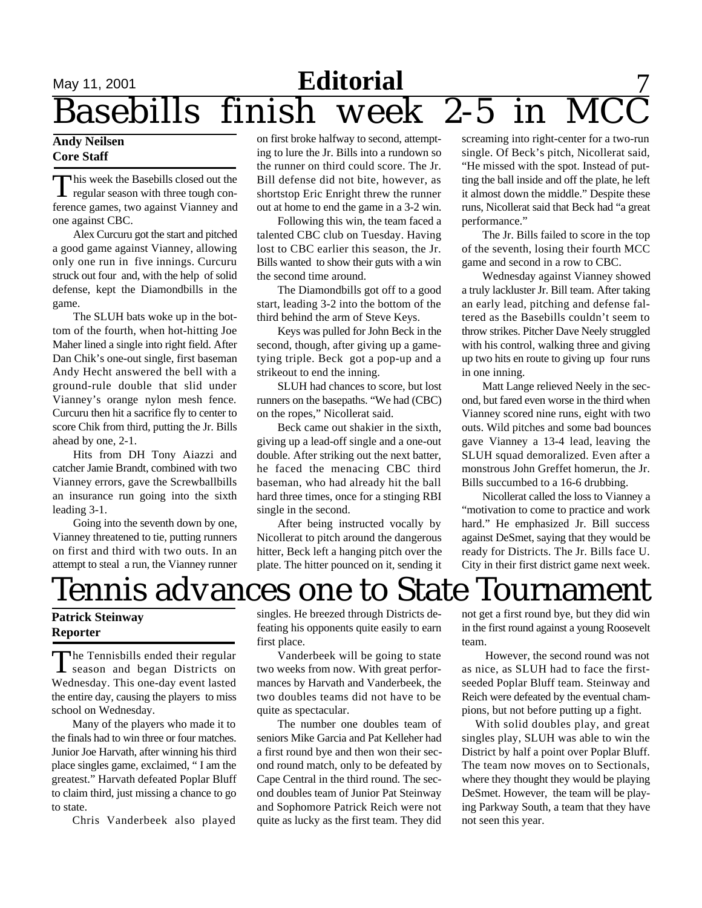## **Editorial** Editorial Editorial Basebills finish week 2-5 in **Basebills**

#### **Andy Neilsen Core Staff**

This week the Basebills closed out the<br>regular season with three tough conhis week the Basebills closed out the ference games, two against Vianney and one against CBC.

Alex Curcuru got the start and pitched a good game against Vianney, allowing only one run in five innings. Curcuru struck out four and, with the help of solid defense, kept the Diamondbills in the game.

The SLUH bats woke up in the bottom of the fourth, when hot-hitting Joe Maher lined a single into right field. After Dan Chik's one-out single, first baseman Andy Hecht answered the bell with a ground-rule double that slid under Vianney's orange nylon mesh fence. Curcuru then hit a sacrifice fly to center to score Chik from third, putting the Jr. Bills ahead by one, 2-1.

Hits from DH Tony Aiazzi and catcher Jamie Brandt, combined with two Vianney errors, gave the Screwballbills an insurance run going into the sixth leading 3-1.

Going into the seventh down by one, Vianney threatened to tie, putting runners on first and third with two outs. In an attempt to steal a run, the Vianney runner

on first broke halfway to second, attempting to lure the Jr. Bills into a rundown so the runner on third could score. The Jr. Bill defense did not bite, however, as shortstop Eric Enright threw the runner out at home to end the game in a 3-2 win.

Following this win, the team faced a talented CBC club on Tuesday. Having lost to CBC earlier this season, the Jr. Bills wanted to show their guts with a win the second time around.

The Diamondbills got off to a good start, leading 3-2 into the bottom of the third behind the arm of Steve Keys.

Keys was pulled for John Beck in the second, though, after giving up a gametying triple. Beck got a pop-up and a strikeout to end the inning.

SLUH had chances to score, but lost runners on the basepaths. "We had (CBC) on the ropes," Nicollerat said.

Beck came out shakier in the sixth, giving up a lead-off single and a one-out double. After striking out the next batter, he faced the menacing CBC third baseman, who had already hit the ball hard three times, once for a stinging RBI single in the second.

After being instructed vocally by Nicollerat to pitch around the dangerous hitter, Beck left a hanging pitch over the plate. The hitter pounced on it, sending it

screaming into right-center for a two-run single. Of Beck's pitch, Nicollerat said, "He missed with the spot. Instead of putting the ball inside and off the plate, he left it almost down the middle." Despite these runs, Nicollerat said that Beck had "a great performance."

The Jr. Bills failed to score in the top of the seventh, losing their fourth MCC game and second in a row to CBC.

Wednesday against Vianney showed a truly lackluster Jr. Bill team. After taking an early lead, pitching and defense faltered as the Basebills couldn't seem to throw strikes. Pitcher Dave Neely struggled with his control, walking three and giving up two hits en route to giving up four runs in one inning.

Matt Lange relieved Neely in the second, but fared even worse in the third when Vianney scored nine runs, eight with two outs. Wild pitches and some bad bounces gave Vianney a 13-4 lead, leaving the SLUH squad demoralized. Even after a monstrous John Greffet homerun, the Jr. Bills succumbed to a 16-6 drubbing.

Nicollerat called the loss to Vianney a "motivation to come to practice and work hard." He emphasized Jr. Bill success against DeSmet, saying that they would be ready for Districts. The Jr. Bills face U. City in their first district game next week.

### Tennis advances one to State Tournament

#### **Patrick Steinway Reporter**

The Tennisbills ended their regular<br>season and began Districts on The Tennisbills ended their regular Wednesday. This one-day event lasted the entire day, causing the players to miss school on Wednesday.

Many of the players who made it to the finals had to win three or four matches. Junior Joe Harvath, after winning his third place singles game, exclaimed, " I am the greatest." Harvath defeated Poplar Bluff to claim third, just missing a chance to go to state.

Chris Vanderbeek also played

singles. He breezed through Districts defeating his opponents quite easily to earn first place.

Vanderbeek will be going to state two weeks from now. With great performances by Harvath and Vanderbeek, the two doubles teams did not have to be quite as spectacular.

The number one doubles team of seniors Mike Garcia and Pat Kelleher had a first round bye and then won their second round match, only to be defeated by Cape Central in the third round. The second doubles team of Junior Pat Steinway and Sophomore Patrick Reich were not quite as lucky as the first team. They did

not get a first round bye, but they did win in the first round against a young Roosevelt team.

 However, the second round was not as nice, as SLUH had to face the firstseeded Poplar Bluff team. Steinway and Reich were defeated by the eventual champions, but not before putting up a fight.

 With solid doubles play, and great singles play, SLUH was able to win the District by half a point over Poplar Bluff. The team now moves on to Sectionals, where they thought they would be playing DeSmet. However, the team will be playing Parkway South, a team that they have not seen this year.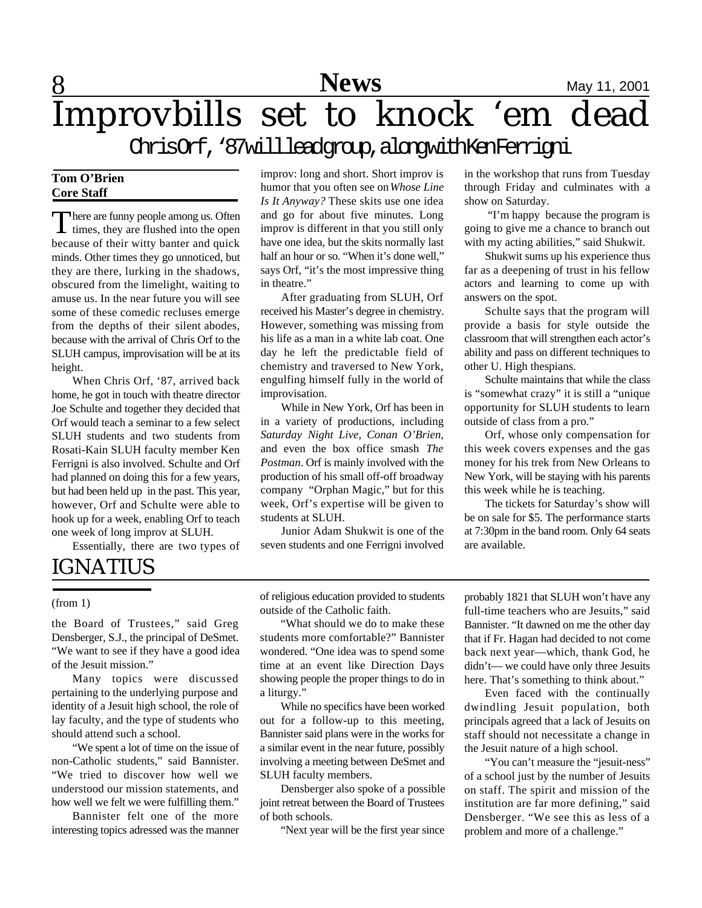

# Improvbills set to knock 'em dead

ChrisOrf, '87willleadgroup,alongwithKenFerrigni

#### **Tom O'Brien Core Staff**

There are funny people among us. Often<br>times, they are flushed into the open  $\perp$  times, they are flushed into the open because of their witty banter and quick minds. Other times they go unnoticed, but they are there, lurking in the shadows, obscured from the limelight, waiting to amuse us. In the near future you will see some of these comedic recluses emerge from the depths of their silent abodes, because with the arrival of Chris Orf to the SLUH campus, improvisation will be at its height.

When Chris Orf, '87, arrived back home, he got in touch with theatre director Joe Schulte and together they decided that Orf would teach a seminar to a few select SLUH students and two students from Rosati-Kain SLUH faculty member Ken Ferrigni is also involved. Schulte and Orf had planned on doing this for a few years, but had been held up in the past. This year, however, Orf and Schulte were able to hook up for a week, enabling Orf to teach one week of long improv at SLUH.

Essentially, there are two types of

### IGNATIUS

(from 1)

the Board of Trustees," said Greg Densberger, S.J., the principal of DeSmet. "We want to see if they have a good idea of the Jesuit mission."

Many topics were discussed pertaining to the underlying purpose and identity of a Jesuit high school, the role of lay faculty, and the type of students who should attend such a school.

"We spent a lot of time on the issue of non-Catholic students," said Bannister. "We tried to discover how well we understood our mission statements, and how well we felt we were fulfilling them."

Bannister felt one of the more interesting topics adressed was the manner improv: long and short. Short improv is humor that you often see on *Whose Line Is It Anyway?* These skits use one idea and go for about five minutes. Long improv is different in that you still only have one idea, but the skits normally last half an hour or so. "When it's done well," says Orf, "it's the most impressive thing in theatre."

After graduating from SLUH, Orf received his Master's degree in chemistry. However, something was missing from his life as a man in a white lab coat. One day he left the predictable field of chemistry and traversed to New York, engulfing himself fully in the world of improvisation.

While in New York, Orf has been in in a variety of productions, including *Saturday Night Live*, *Conan O'Brien,* and even the box office smash *The Postman*. Orf is mainly involved with the production of his small off-off broadway company "Orphan Magic," but for this week, Orf's expertise will be given to students at SLUH.

Junior Adam Shukwit is one of the seven students and one Ferrigni involved in the workshop that runs from Tuesday through Friday and culminates with a show on Saturday.

 "I'm happy because the program is going to give me a chance to branch out with my acting abilities," said Shukwit.

Shukwit sums up his experience thus far as a deepening of trust in his fellow actors and learning to come up with answers on the spot.

Schulte says that the program will provide a basis for style outside the classroom that will strengthen each actor's ability and pass on different techniques to other U. High thespians.

Schulte maintains that while the class is "somewhat crazy" it is still a "unique opportunity for SLUH students to learn outside of class from a pro."

Orf, whose only compensation for this week covers expenses and the gas money for his trek from New Orleans to New York, will be staying with his parents this week while he is teaching.

The tickets for Saturday's show will be on sale for \$5. The performance starts at 7:30pm in the band room. Only 64 seats are available.

of religious education provided to students outside of the Catholic faith.

"What should we do to make these students more comfortable?" Bannister wondered. "One idea was to spend some time at an event like Direction Days showing people the proper things to do in a liturgy."

While no specifics have been worked out for a follow-up to this meeting, Bannister said plans were in the works for a similar event in the near future, possibly involving a meeting between DeSmet and SLUH faculty members.

Densberger also spoke of a possible joint retreat between the Board of Trustees of both schools.

"Next year will be the first year since

probably 1821 that SLUH won't have any full-time teachers who are Jesuits," said Bannister. "It dawned on me the other day that if Fr. Hagan had decided to not come back next year—which, thank God, he didn't— we could have only three Jesuits here. That's something to think about."

Even faced with the continually dwindling Jesuit population, both principals agreed that a lack of Jesuits on staff should not necessitate a change in the Jesuit nature of a high school.

"You can't measure the "jesuit-ness" of a school just by the number of Jesuits on staff. The spirit and mission of the institution are far more defining," said Densberger. "We see this as less of a problem and more of a challenge."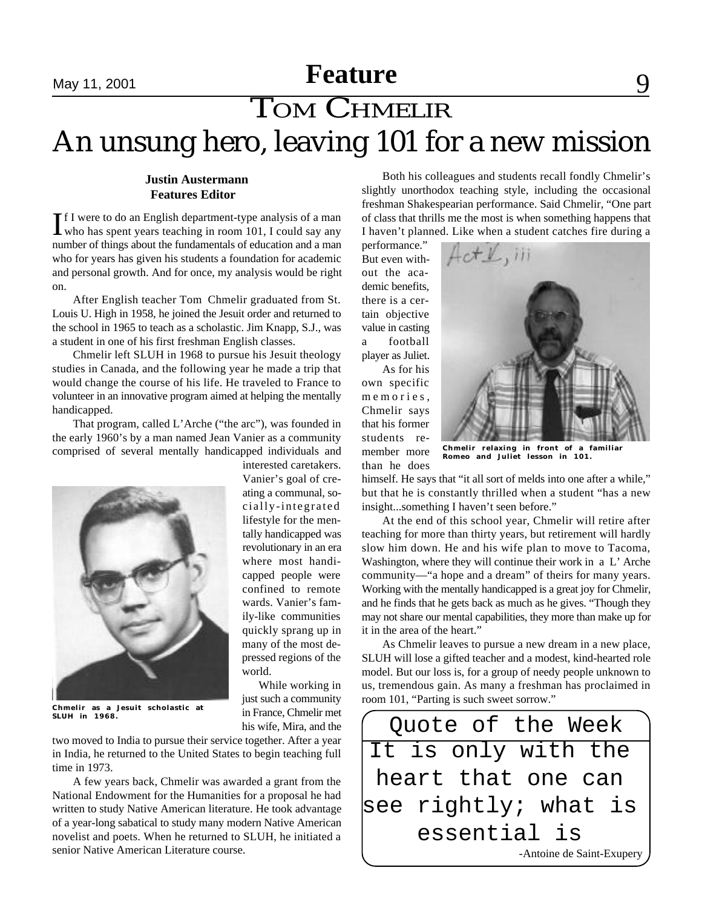### **Exacture** May 11, 2001 **Property Exacture** 9 An unsung hero, leaving 101 for a new mission TOM CHMELIR **Feature**

#### **Justin Austermann Features Editor**

If I were to do an English department-type analysis of a man who has spent years teaching in room 101, I could say any f I were to do an English department-type analysis of a man number of things about the fundamentals of education and a man who for years has given his students a foundation for academic and personal growth. And for once, my analysis would be right on.

After English teacher Tom Chmelir graduated from St. Louis U. High in 1958, he joined the Jesuit order and returned to the school in 1965 to teach as a scholastic. Jim Knapp, S.J., was a student in one of his first freshman English classes.

Chmelir left SLUH in 1968 to pursue his Jesuit theology studies in Canada, and the following year he made a trip that would change the course of his life. He traveled to France to volunteer in an innovative program aimed at helping the mentally handicapped.

That program, called L'Arche ("the arc"), was founded in the early 1960's by a man named Jean Vanier as a community comprised of several mentally handicapped individuals and



interested caretakers. Vanier's goal of creating a communal, socially-integrated lifestyle for the mentally handicapped was revolutionary in an era where most handicapped people were confined to remote wards. Vanier's family-like communities quickly sprang up in many of the most depressed regions of the world.

While working in just such a community in France, Chmelir met his wife, Mira, and the

**Chmelir as a Jesuit scholastic at SLUH in 1968.**

two moved to India to pursue their service together. After a year in India, he returned to the United States to begin teaching full time in 1973.

A few years back, Chmelir was awarded a grant from the National Endowment for the Humanities for a proposal he had written to study Native American literature. He took advantage of a year-long sabatical to study many modern Native American novelist and poets. When he returned to SLUH, he initiated a senior Native American Literature course.

Both his colleagues and students recall fondly Chmelir's slightly unorthodox teaching style, including the occasional freshman Shakespearian performance. Said Chmelir, "One part of class that thrills me the most is when something happens that I haven't planned. Like when a student catches fire during a

performance." But even without the academic benefits, there is a certain objective value in casting a football player as Juliet.

As for his own specific m e m o r i e s, Chmelir says that his former students remember more

than he does



**Chmelir relaxing in front of a familiar** *Romeo and Juliet* **lesson in 101.**

himself. He says that "it all sort of melds into one after a while," but that he is constantly thrilled when a student "has a new insight...something I haven't seen before."

At the end of this school year, Chmelir will retire after teaching for more than thirty years, but retirement will hardly slow him down. He and his wife plan to move to Tacoma, Washington, where they will continue their work in a L' Arche community—"a hope and a dream" of theirs for many years. Working with the mentally handicapped is a great joy for Chmelir, and he finds that he gets back as much as he gives. "Though they may not share our mental capabilities, they more than make up for it in the area of the heart."

As Chmelir leaves to pursue a new dream in a new place, SLUH will lose a gifted teacher and a modest, kind-hearted role model. But our loss is, for a group of needy people unknown to us, tremendous gain. As many a freshman has proclaimed in room 101, "Parting is such sweet sorrow."

Quote of the Week It is only with the heart that one can see rightly; what is essential is -Antoine de Saint-Exupery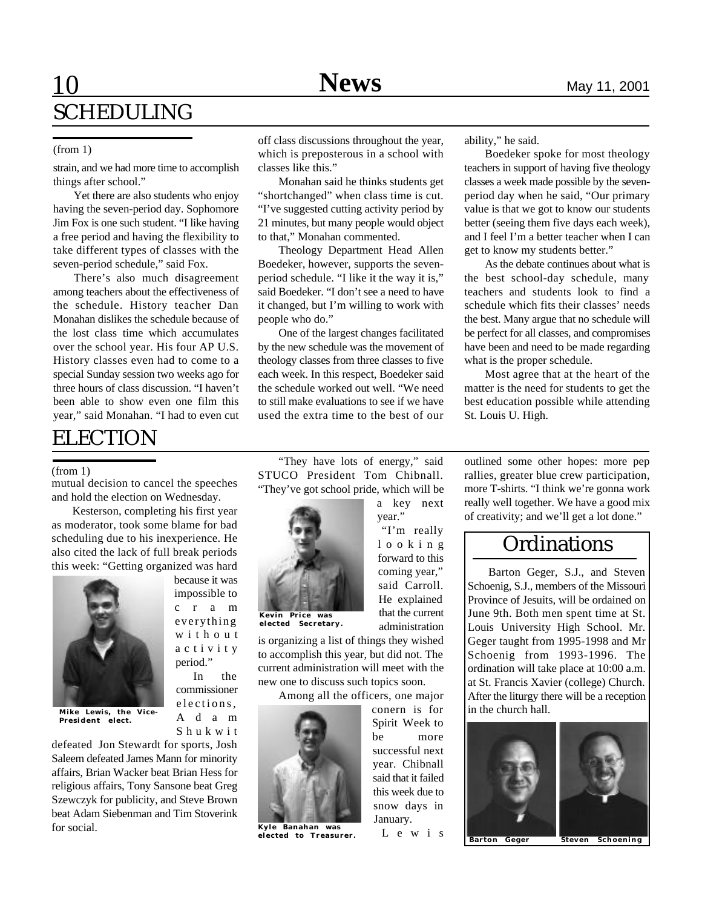### **10 EDIT NEWS EDIT** May 11, 2001 SCHEDULING

#### (from 1)

strain, and we had more time to accomplish things after school."

Yet there are also students who enjoy having the seven-period day. Sophomore Jim Fox is one such student. "I like having a free period and having the flexibility to take different types of classes with the seven-period schedule," said Fox.

There's also much disagreement among teachers about the effectiveness of the schedule. History teacher Dan Monahan dislikes the schedule because of the lost class time which accumulates over the school year. His four AP U.S. History classes even had to come to a special Sunday session two weeks ago for three hours of class discussion. "I haven't been able to show even one film this year," said Monahan. "I had to even cut

### ELECTION

(from 1)

mutual decision to cancel the speeches and hold the election on Wednesday.

Kesterson, completing his first year as moderator, took some blame for bad scheduling due to his inexperience. He also cited the lack of full break periods this week: "Getting organized was hard

> because it was impossible to c r a m everything w i t h o u t a c t i v i t y period."

In the commissioner elections, A d a m S h u k w i t



**Mike Lewis, the Vice-President elect.**

defeated Jon Stewardt for sports, Josh Saleem defeated James Mann for minority affairs, Brian Wacker beat Brian Hess for religious affairs, Tony Sansone beat Greg Szewczyk for publicity, and Steve Brown beat Adam Siebenman and Tim Stoverink for social.

off class discussions throughout the year, which is preposterous in a school with classes like this."

Monahan said he thinks students get "shortchanged" when class time is cut. "I've suggested cutting activity period by 21 minutes, but many people would object to that," Monahan commented.

Theology Department Head Allen Boedeker, however, supports the sevenperiod schedule. "I like it the way it is," said Boedeker. "I don't see a need to have it changed, but I'm willing to work with people who do."

One of the largest changes facilitated by the new schedule was the movement of theology classes from three classes to five each week. In this respect, Boedeker said the schedule worked out well. "We need to still make evaluations to see if we have used the extra time to the best of our

ability," he said.

Boedeker spoke for most theology teachers in support of having five theology classes a week made possible by the sevenperiod day when he said, "Our primary value is that we got to know our students better (seeing them five days each week), and I feel I'm a better teacher when I can get to know my students better."

As the debate continues about what is the best school-day schedule, many teachers and students look to find a schedule which fits their classes' needs the best. Many argue that no schedule will be perfect for all classes, and compromises have been and need to be made regarding what is the proper schedule.

Most agree that at the heart of the matter is the need for students to get the best education possible while attending St. Louis U. High.

outlined some other hopes: more pep rallies, greater blue crew participation, more T-shirts. "I think we're gonna work really well together. We have a good mix of creativity; and we'll get a lot done."

**Ordinations** 

Barton Geger, S.J., and Steven Schoenig, S.J., members of the Missouri Province of Jesuits, will be ordained on June 9th. Both men spent time at St. Louis University High School. Mr. Geger taught from 1995-1998 and Mr Schoenig from 1993-1996. The ordination will take place at 10:00 a.m. at St. Francis Xavier (college) Church. After the liturgy there will be a reception

"They have lots of energy," said STUCO President Tom Chibnall. "They've got school pride, which will be



a key next year." "I'm really l o o k i n g forward to this coming year," said Carroll. He explained that the current

**Kevin Price was elected Secretary.**

is organizing a list of things they wished to accomplish this year, but did not. The current administration will meet with the new one to discuss such topics soon.

Among all the officers, one major



**Kyle Banahan was elected to Treasurer.**

administration

conern is for Spirit Week to be more successful next year. Chibnall said that it failed this week due to snow days in January. L e w i s

in the church hall.



**Barton Geger Steven Schoening**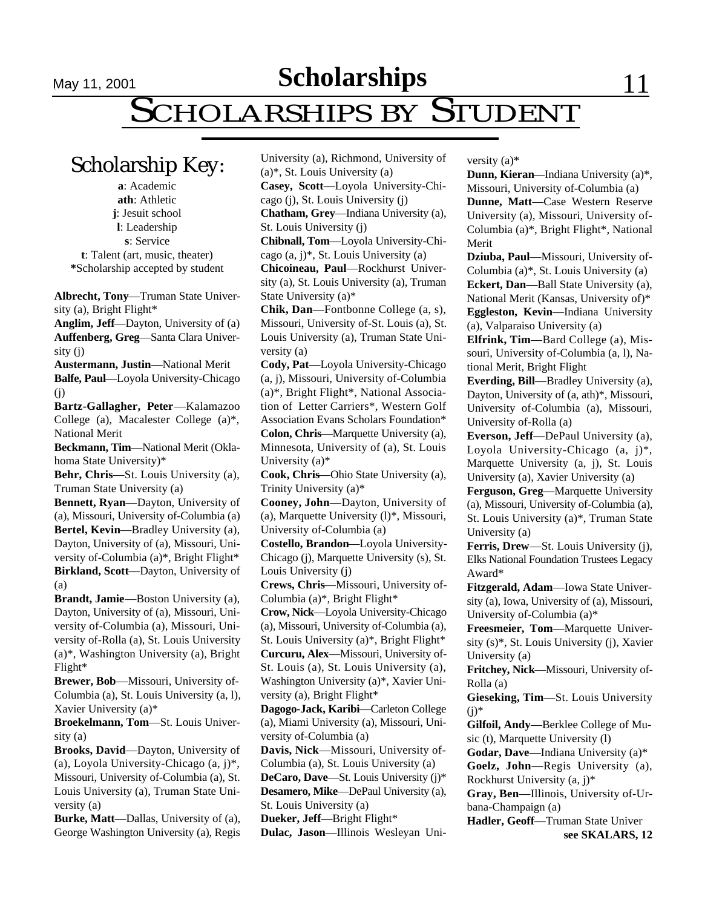**Scholarships** 11, 2001 **Editor 22, 2001** 

# May 11, 2001<br>SCHOLARSHIPS BY STUDENT

University (a), Richmond, University of

Scholarship Key:

**a**: Academic **ath**: Athletic **j**: Jesuit school **l**: Leadership **s**: Service **t**: Talent (art, music, theater) **\***Scholarship accepted by student

**Albrecht, Tony**—Truman State University (a), Bright Flight\*

**Anglim, Jeff**—Dayton, University of (a) **Auffenberg, Greg**—Santa Clara University (j)

**Austermann, Justin**—National Merit **Balfe, Paul**—Loyola University-Chicago (j)

**Bartz-Gallagher, Peter**—Kalamazoo College (a), Macalester College (a)\*, National Merit

**Beckmann, Tim**—National Merit (Oklahoma State University)\*

**Behr, Chris**—St. Louis University (a), Truman State University (a)

**Bennett, Ryan**—Dayton, University of (a), Missouri, University of-Columbia (a) **Bertel, Kevin**—Bradley University (a), Dayton, University of (a), Missouri, University of-Columbia (a)\*, Bright Flight\* **Birkland, Scott**—Dayton, University of (a)

**Brandt, Jamie**—Boston University (a), Dayton, University of (a), Missouri, University of-Columbia (a), Missouri, University of-Rolla (a), St. Louis University (a)\*, Washington University (a), Bright Flight\*

**Brewer, Bob**—Missouri, University of-Columbia (a), St. Louis University (a, l), Xavier University (a)\*

**Broekelmann, Tom**—St. Louis University (a)

**Brooks, David**—Dayton, University of (a), Loyola University-Chicago (a, j)\*, Missouri, University of-Columbia (a), St. Louis University (a), Truman State University (a)

**Burke, Matt**—Dallas, University of (a), George Washington University (a), Regis (a)\*, St. Louis University (a) **Casey, Scott**—Loyola University-Chicago (j), St. Louis University (j) **Chatham, Grey**—Indiana University (a), St. Louis University (j) **Chibnall, Tom**—Loyola University-Chicago (a, j)\*, St. Louis University (a) **Chicoineau, Paul**—Rockhurst University (a), St. Louis University (a), Truman State University (a)\* **Chik, Dan**—Fontbonne College (a, s), Missouri, University of-St. Louis (a), St. Louis University (a), Truman State University (a) **Cody, Pat**—Loyola University-Chicago (a, j), Missouri, University of-Columbia (a)\*, Bright Flight\*, National Association of Letter Carriers\*, Western Golf

Association Evans Scholars Foundation\* **Colon, Chris**—Marquette University (a), Minnesota, University of (a), St. Louis University (a)\*

**Cook, Chris**—Ohio State University (a), Trinity University (a)\*

**Cooney, John**—Dayton, University of (a), Marquette University (l)\*, Missouri, University of-Columbia (a)

**Costello, Brandon**—Loyola University-Chicago (j), Marquette University (s), St. Louis University (j)

**Crews, Chris**—Missouri, University of-Columbia (a)\*, Bright Flight\*

**Crow, Nick**—Loyola University-Chicago (a), Missouri, University of-Columbia (a), St. Louis University (a)\*, Bright Flight\* **Curcuru, Alex**—Missouri, University of-St. Louis (a), St. Louis University (a), Washington University (a)\*, Xavier University (a), Bright Flight\*

**Dagogo-Jack, Karibi**—Carleton College (a), Miami University (a), Missouri, University of-Columbia (a)

**Davis, Nick**—Missouri, University of-Columbia (a), St. Louis University (a)

**DeCaro, Dave**—St. Louis University (j)\* **Desamero, Mike**—DePaul University (a),

St. Louis University (a) **Dueker, Jeff**—Bright Flight\*

**Dulac, Jason**—Illinois Wesleyan Uni-

versity (a)\*

**Dunn, Kieran**—Indiana University (a)\*, Missouri, University of-Columbia (a)

**Dunne, Matt**—Case Western Reserve University (a), Missouri, University of-Columbia (a)\*, Bright Flight\*, National Merit

**Dziuba, Paul**—Missouri, University of-Columbia (a)\*, St. Louis University (a) **Eckert, Dan**—Ball State University (a), National Merit (Kansas, University of)\* **Eggleston, Kevin**—Indiana University (a), Valparaiso University (a)

**Elfrink, Tim**—Bard College (a), Missouri, University of-Columbia (a, l), National Merit, Bright Flight

**Everding, Bill**—Bradley University (a), Dayton, University of (a, ath)\*, Missouri, University of-Columbia (a), Missouri, University of-Rolla (a)

**Everson, Jeff**—DePaul University (a), Loyola University-Chicago (a, j)\*, Marquette University (a, j), St. Louis University (a), Xavier University (a)

**Ferguson, Greg**—Marquette University (a), Missouri, University of-Columbia (a), St. Louis University (a)\*, Truman State University (a)

**Ferris, Drew**—St. Louis University (j), Elks National Foundation Trustees Legacy Award\*

**Fitzgerald, Adam**—Iowa State University (a), Iowa, University of (a), Missouri, University of-Columbia (a)\*

**Freesmeier, Tom**—Marquette University (s)\*, St. Louis University (j), Xavier University (a)

**Fritchey, Nick**—Missouri, University of-Rolla (a)

**Gieseking, Tim**—St. Louis University  $(i)*$ 

**Gilfoil, Andy**—Berklee College of Music (t), Marquette University (l)

**Godar, Dave**—Indiana University (a)\* **Goelz, John**—Regis University (a), Rockhurst University (a, j)\*

**Gray, Ben**—Illinois, University of-Urbana-Champaign (a)

**Hadler, Geoff**—Truman State Univer **see SKALARS, 12**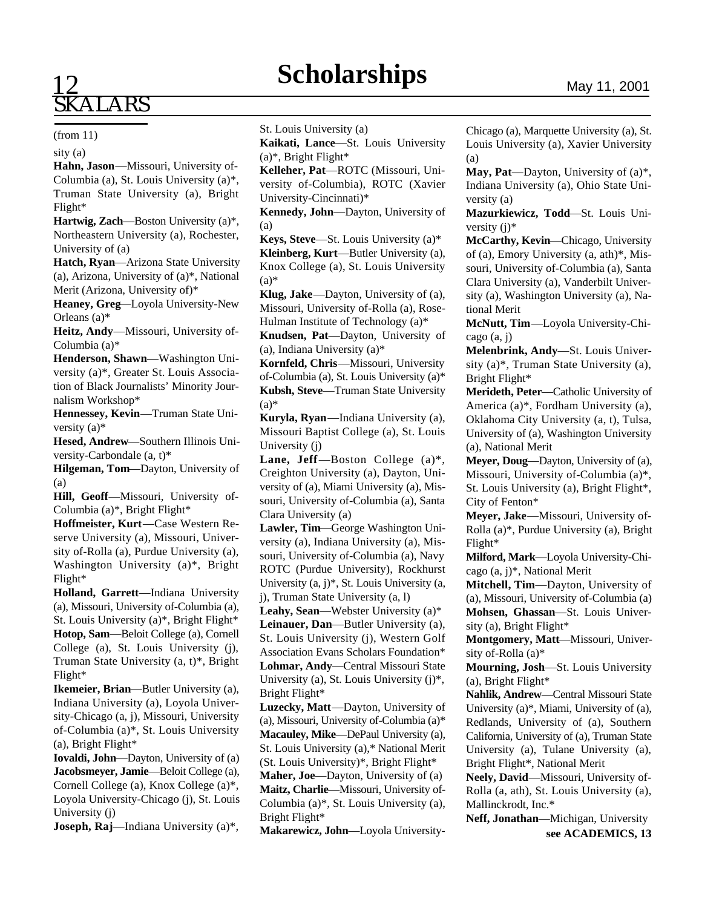### **Scholarships**

#### (from 11)

sity (a)

**Hahn, Jason**—Missouri, University of-Columbia (a), St. Louis University (a)\*, Truman State University (a), Bright Flight\*

**Hartwig, Zach**—Boston University (a)\*, Northeastern University (a), Rochester, University of (a)

**Hatch, Ryan**—Arizona State University (a), Arizona, University of (a)\*, National Merit (Arizona, University of)\*

**Heaney, Greg**—Loyola University-New Orleans (a)\*

**Heitz, Andy**—Missouri, University of-Columbia (a)\*

**Henderson, Shawn**—Washington University (a)\*, Greater St. Louis Association of Black Journalists' Minority Journalism Workshop\*

**Hennessey, Kevin**—Truman State University (a)\*

**Hesed, Andrew**—Southern Illinois University-Carbondale (a, t)\*

**Hilgeman, Tom**—Dayton, University of (a)

**Hill, Geoff**—Missouri, University of-Columbia (a)\*, Bright Flight\*

**Hoffmeister, Kurt**—Case Western Reserve University (a), Missouri, University of-Rolla (a), Purdue University (a), Washington University (a)\*, Bright Flight\*

**Holland, Garrett**—Indiana University (a), Missouri, University of-Columbia (a), St. Louis University (a)\*, Bright Flight\* **Hotop, Sam**—Beloit College (a), Cornell College (a), St. Louis University (j), Truman State University (a, t)\*, Bright Flight\*

**Ikemeier, Brian**—Butler University (a), Indiana University (a), Loyola University-Chicago (a, j), Missouri, University of-Columbia (a)\*, St. Louis University (a), Bright Flight\*

**Iovaldi, John**—Dayton, University of (a) **Jacobsmeyer, Jamie**—Beloit College (a), Cornell College (a), Knox College (a)\*, Loyola University-Chicago (j), St. Louis University (j)

**Joseph, Raj**—Indiana University (a)\*,

St. Louis University (a)

**Kaikati, Lance**—St. Louis University  $(a)$ <sup>\*</sup>, Bright Flight<sup>\*</sup>

**Kelleher, Pat**—ROTC (Missouri, University of-Columbia), ROTC (Xavier University-Cincinnati)\*

**Kennedy, John**—Dayton, University of (a)

**Keys, Steve**—St. Louis University (a)\* **Kleinberg, Kurt**—Butler University (a), Knox College (a), St. Louis University  $(a)*$ 

**Klug, Jake**—Dayton, University of (a), Missouri, University of-Rolla (a), Rose-Hulman Institute of Technology (a)\*

**Knudsen, Pat**—Dayton, University of (a), Indiana University (a)\*

**Kornfeld, Chris**—Missouri, University of-Columbia (a), St. Louis University (a)\* **Kubsh, Steve**—Truman State University  $(a)$ \*

**Kuryla, Ryan**—Indiana University (a), Missouri Baptist College (a), St. Louis University (j)

**Lane, Jeff**—Boston College (a)\*, Creighton University (a), Dayton, University of (a), Miami University (a), Missouri, University of-Columbia (a), Santa Clara University (a)

**Lawler, Tim**—George Washington University (a), Indiana University (a), Missouri, University of-Columbia (a), Navy ROTC (Purdue University), Rockhurst University (a, j)\*, St. Louis University (a, j), Truman State University (a, l)

**Leahy, Sean**—Webster University (a)\*

**Leinauer, Dan**—Butler University (a), St. Louis University (j), Western Golf Association Evans Scholars Foundation\* **Lohmar, Andy**—Central Missouri State University (a), St. Louis University (j)\*, Bright Flight\*

**Luzecky, Matt**—Dayton, University of (a), Missouri, University of-Columbia (a)\* **Macauley, Mike**—DePaul University (a), St. Louis University (a),\* National Merit (St. Louis University)\*, Bright Flight\*

**Maher, Joe**—Dayton, University of (a) **Maitz, Charlie**—Missouri, University of-Columbia (a)\*, St. Louis University (a), Bright Flight\*

**Makarewicz, John**—Loyola University-

Chicago (a), Marquette University (a), St. Louis University (a), Xavier University (a)

**May, Pat**—Dayton, University of (a)\*, Indiana University (a), Ohio State University (a)

**Mazurkiewicz, Todd**—St. Louis University (j)\*

**McCarthy, Kevin**—Chicago, University of (a), Emory University (a, ath)\*, Missouri, University of-Columbia (a), Santa Clara University (a), Vanderbilt University (a), Washington University (a), National Merit

**McNutt, Tim**—Loyola University-Chicago (a, j)

**Melenbrink, Andy**—St. Louis University (a)\*, Truman State University (a), Bright Flight\*

**Merideth, Peter**—Catholic University of America (a)\*, Fordham University (a), Oklahoma City University (a, t), Tulsa, University of (a), Washington University (a), National Merit

**Meyer, Doug**—Dayton, University of (a), Missouri, University of-Columbia (a)\*, St. Louis University (a), Bright Flight\*, City of Fenton\*

**Meyer, Jake**—Missouri, University of-Rolla (a)\*, Purdue University (a), Bright Flight\*

**Milford, Mark**—Loyola University-Chicago (a, j)\*, National Merit

**Mitchell, Tim**—Dayton, University of (a), Missouri, University of-Columbia (a) **Mohsen, Ghassan**—St. Louis University (a), Bright Flight\*

**Montgomery, Matt**—Missouri, University of-Rolla (a)\*

**Mourning, Josh**—St. Louis University (a), Bright Flight\*

**Nahlik, Andrew**—Central Missouri State University (a)\*, Miami, University of (a), Redlands, University of (a), Southern California, University of (a), Truman State University (a), Tulane University (a), Bright Flight\*, National Merit

**Neely, David**—Missouri, University of-Rolla (a, ath), St. Louis University (a), Mallinckrodt, Inc.\*

**Neff, Jonathan**—Michigan, University **see ACADEMICS, 13**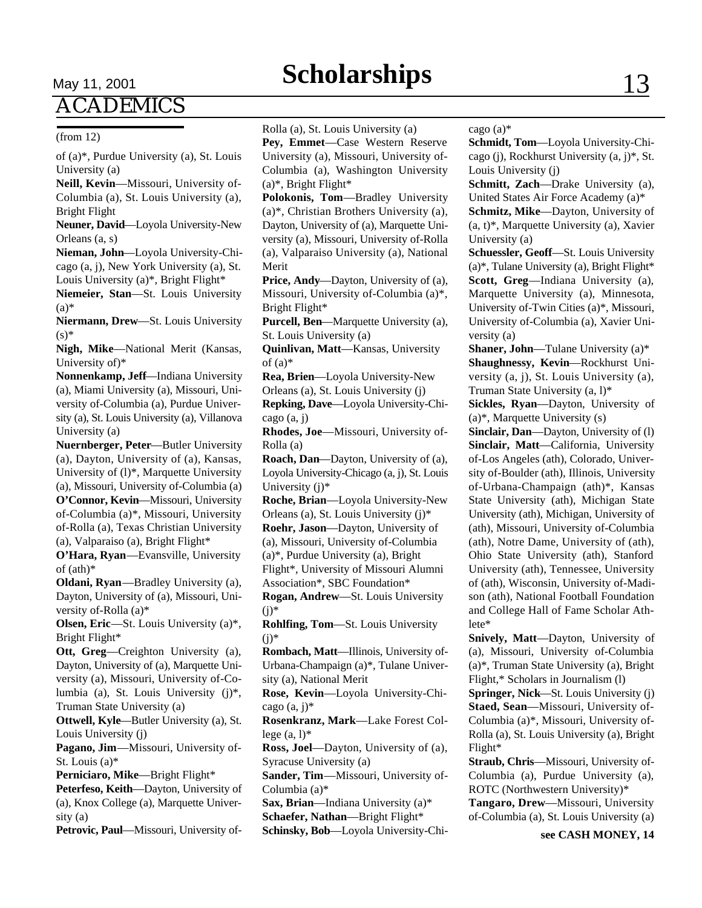## **Scholarships** 13

## **ACADEMICS**

#### (from 12)

of (a)\*, Purdue University (a), St. Louis University (a)

**Neill, Kevin**—Missouri, University of-Columbia (a), St. Louis University (a), Bright Flight

**Neuner, David**—Loyola University-New Orleans (a, s)

**Nieman, John**—Loyola University-Chicago (a, j), New York University (a), St. Louis University (a)\*, Bright Flight\*

**Niemeier, Stan**—St. Louis University (a)\*

**Niermann, Drew**—St. Louis University  $(s)$ \*

**Nigh, Mike**—National Merit (Kansas, University of)\*

**Nonnenkamp, Jeff**—Indiana University (a), Miami University (a), Missouri, University of-Columbia (a), Purdue University (a), St. Louis University (a), Villanova University (a)

**Nuernberger, Peter**—Butler University (a), Dayton, University of (a), Kansas, University of (l)\*, Marquette University (a), Missouri, University of-Columbia (a) **O'Connor, Kevin**—Missouri, University of-Columbia (a)\*, Missouri, University of-Rolla (a), Texas Christian University (a), Valparaiso (a), Bright Flight\*

**O'Hara, Ryan**—Evansville, University of (ath)\*

**Oldani, Ryan**—Bradley University (a), Dayton, University of (a), Missouri, University of-Rolla (a)\*

**Olsen, Eric**—St. Louis University (a)\*, Bright Flight\*

**Ott, Greg**—Creighton University (a), Dayton, University of (a), Marquette University (a), Missouri, University of-Columbia (a), St. Louis University (j)\*, Truman State University (a)

**Ottwell, Kyle**—Butler University (a), St. Louis University (j)

**Pagano, Jim**—Missouri, University of-St. Louis (a)\*

**Perniciaro, Mike**—Bright Flight\*

**Peterfeso, Keith**—Dayton, University of (a), Knox College (a), Marquette University (a)

**Petrovic, Paul**—Missouri, University of-

Rolla (a), St. Louis University (a)

**Pey, Emmet**—Case Western Reserve University (a), Missouri, University of-Columbia (a), Washington University  $(a)$ <sup>\*</sup>, Bright Flight<sup>\*</sup>

**Polokonis, Tom**—Bradley University (a)\*, Christian Brothers University (a), Dayton, University of (a), Marquette University (a), Missouri, University of-Rolla (a), Valparaiso University (a), National Merit

**Price, Andy**—Dayton, University of (a), Missouri, University of-Columbia (a)\*, Bright Flight\*

**Purcell, Ben**—Marquette University (a), St. Louis University (a)

**Quinlivan, Matt**—Kansas, University of  $(a)$ <sup>\*</sup>

**Rea, Brien**—Loyola University-New Orleans (a), St. Louis University (j)

**Repking, Dave**—Loyola University-Chicago (a, j)

**Rhodes, Joe**—Missouri, University of-Rolla (a)

**Roach, Dan**—Dayton, University of (a), Loyola University-Chicago (a, j), St. Louis University (j)\*

**Roche, Brian**—Loyola University-New Orleans (a), St. Louis University (j)\*

**Roehr, Jason**—Dayton, University of (a), Missouri, University of-Columbia (a)\*, Purdue University (a), Bright

Flight\*, University of Missouri Alumni Association\*, SBC Foundation\*

**Rogan, Andrew**—St. Louis University  $(i)*$ 

**Rohlfing, Tom**—St. Louis University  $(i)*$ 

**Rombach, Matt**—Illinois, University of-Urbana-Champaign (a)\*, Tulane University (a), National Merit

**Rose, Kevin**—Loyola University-Chicago  $(a, j)^*$ 

**Rosenkranz, Mark**—Lake Forest College  $(a, l)^*$ 

**Ross, Joel**—Dayton, University of (a), Syracuse University (a)

**Sander, Tim**—Missouri, University of-Columbia (a)\*

**Sax, Brian**—Indiana University (a)\* **Schaefer, Nathan**—Bright Flight\*

**Schinsky, Bob**—Loyola University-Chi-

cago (a)\*

**Schmidt, Tom**—Loyola University-Chicago (j), Rockhurst University (a, j)\*, St. Louis University (j)

**Schmitt, Zach**—Drake University (a), United States Air Force Academy (a)\*

**Schmitz, Mike**—Dayton, University of (a, t)\*, Marquette University (a), Xavier University (a)

**Schuessler, Geoff**—St. Louis University  $(a)$ <sup>\*</sup>, Tulane University (a), Bright Flight<sup>\*</sup> **Scott, Greg**—Indiana University (a), Marquette University (a), Minnesota, University of-Twin Cities (a)\*, Missouri, University of-Columbia (a), Xavier University (a)

**Shaner, John—Tulane University (a)\* Shaughnessy, Kevin**—Rockhurst University (a, j), St. Louis University (a), Truman State University (a, l)\*

**Sickles, Ryan**—Dayton, University of (a)\*, Marquette University (s)

**Sinclair, Dan**—Dayton, University of (l) **Sinclair, Matt**—California, University of-Los Angeles (ath), Colorado, University of-Boulder (ath), Illinois, University of-Urbana-Champaign (ath)\*, Kansas State University (ath), Michigan State University (ath), Michigan, University of (ath), Missouri, University of-Columbia (ath), Notre Dame, University of (ath), Ohio State University (ath), Stanford University (ath), Tennessee, University of (ath), Wisconsin, University of-Madison (ath), National Football Foundation and College Hall of Fame Scholar Athlete\*

**Snively, Matt**—Dayton, University of (a), Missouri, University of-Columbia (a)\*, Truman State University (a), Bright Flight,\* Scholars in Journalism (l)

**Springer, Nick**—St. Louis University (j) **Staed, Sean**—Missouri, University of-Columbia (a)\*, Missouri, University of-Rolla (a), St. Louis University (a), Bright Flight\*

**Straub, Chris**—Missouri, University of-Columbia (a), Purdue University (a), ROTC (Northwestern University)\*

**Tangaro, Drew**—Missouri, University of-Columbia (a), St. Louis University (a)

**see CASH MONEY, 14**